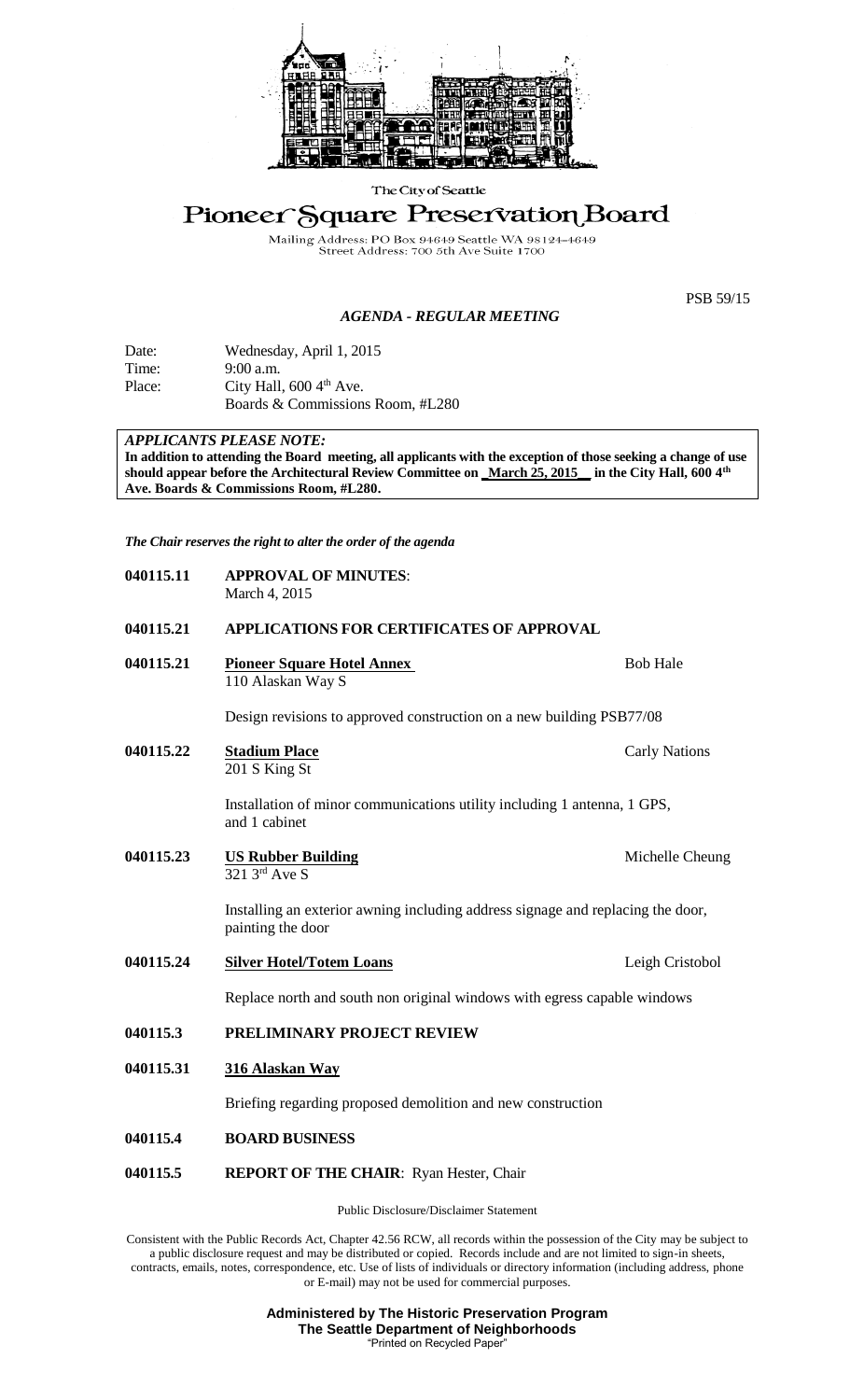

The City of Seattle

## Pioneer Square Preservation Board

Mailing Address: PO Box 94649 Seattle WA 981<br>Street Address: 700 5th Ave Suite 1700 WA 98124 4649

## *AGENDA - REGULAR MEETING*

PSB 59/15

| Date:  | Wednesday, April 1, 2015             |  |
|--------|--------------------------------------|--|
| Time:  | $9:00$ a.m.                          |  |
| Place: | City Hall, $600\,4^{\text{th}}$ Ave. |  |

Boards & Commissions Room, #L280

## *APPLICANTS PLEASE NOTE:*

**In addition to attending the Board meeting, all applicants with the exception of those seeking a change of use should appear before the Architectural Review Committee on \_March 25, 2015\_\_ in the City Hall, 600 4th Ave. Boards & Commissions Room, #L280.**

*The Chair reserves the right to alter the order of the agenda*

| 040115.11 | <b>APPROVAL OF MINUTES:</b><br>March 4, 2015                                                         |                      |  |
|-----------|------------------------------------------------------------------------------------------------------|----------------------|--|
| 040115.21 | APPLICATIONS FOR CERTIFICATES OF APPROVAL                                                            |                      |  |
| 040115.21 | <b>Pioneer Square Hotel Annex</b><br>110 Alaskan Way S                                               | <b>Bob Hale</b>      |  |
|           | Design revisions to approved construction on a new building PSB77/08                                 |                      |  |
| 040115.22 | <b>Stadium Place</b><br>201 S King St                                                                | <b>Carly Nations</b> |  |
|           | Installation of minor communications utility including 1 antenna, 1 GPS,<br>and 1 cabinet            |                      |  |
| 040115.23 | <b>US Rubber Building</b><br>$\overline{321\,3^{\text{rd}}$ Ave S                                    | Michelle Cheung      |  |
|           | Installing an exterior awning including address signage and replacing the door,<br>painting the door |                      |  |
| 040115.24 | <b>Silver Hotel/Totem Loans</b>                                                                      | Leigh Cristobol      |  |
|           | Replace north and south non original windows with egress capable windows                             |                      |  |
| 040115.3  | PRELIMINARY PROJECT REVIEW                                                                           |                      |  |
| 040115.31 | 316 Alaskan Way                                                                                      |                      |  |
|           | Briefing regarding proposed demolition and new construction                                          |                      |  |
| 040115.4  | <b>BOARD BUSINESS</b>                                                                                |                      |  |
| 040115.5  | <b>REPORT OF THE CHAIR:</b> Ryan Hester, Chair                                                       |                      |  |
|           | Public Disclosure/Disclaimer Statement                                                               |                      |  |

Consistent with the Public Records Act, Chapter 42.56 RCW, all records within the possession of the City may be subject to a public disclosure request and may be distributed or copied. Records include and are not limited to sign-in sheets, contracts, emails, notes, correspondence, etc. Use of lists of individuals or directory information (including address, phone or E-mail) may not be used for commercial purposes.

> **Administered by The Historic Preservation Program The Seattle Department of Neighborhoods** "Printed on Recycled Paper"